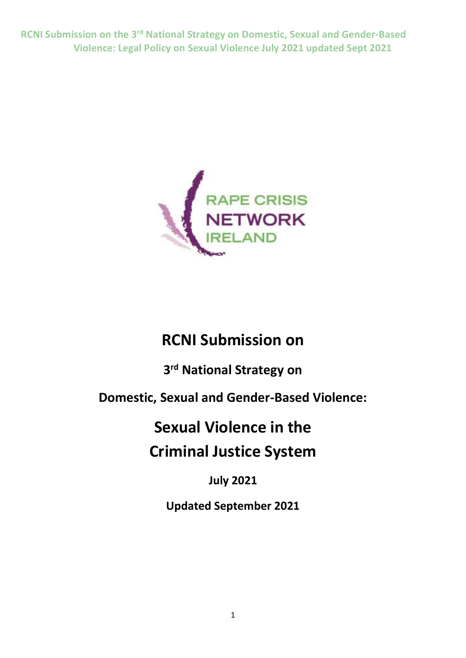

## **RCNI Submission on**

**3 rd National Strategy on**

**Domestic, Sexual and Gender-Based Violence:**

# **Sexual Violence in the Criminal Justice System**

## **July 2021**

**Updated September 2021**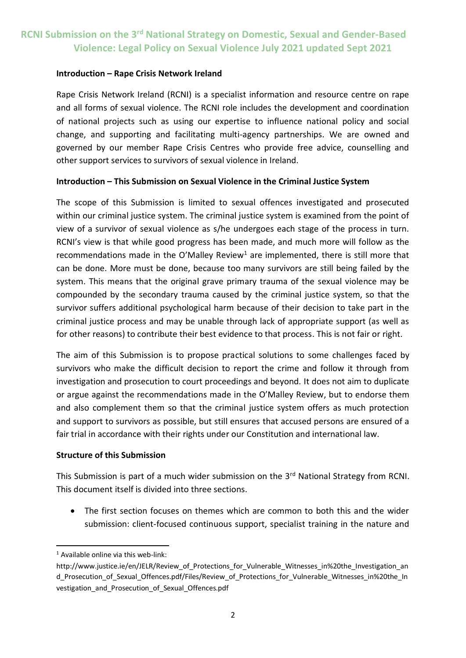#### **Introduction – Rape Crisis Network Ireland**

Rape Crisis Network Ireland (RCNI) is a specialist information and resource centre on rape and all forms of sexual violence. The RCNI role includes the development and coordination of national projects such as using our expertise to influence national policy and social change, and supporting and facilitating multi-agency partnerships. We are owned and governed by our member Rape Crisis Centres who provide free advice, counselling and other support services to survivors of sexual violence in Ireland.

#### **Introduction – This Submission on Sexual Violence in the Criminal Justice System**

The scope of this Submission is limited to sexual offences investigated and prosecuted within our criminal justice system. The criminal justice system is examined from the point of view of a survivor of sexual violence as s/he undergoes each stage of the process in turn. RCNI's view is that while good progress has been made, and much more will follow as the recommendations made in the O'Malley Review<sup>1</sup> are implemented, there is still more that can be done. More must be done, because too many survivors are still being failed by the system. This means that the original grave primary trauma of the sexual violence may be compounded by the secondary trauma caused by the criminal justice system, so that the survivor suffers additional psychological harm because of their decision to take part in the criminal justice process and may be unable through lack of appropriate support (as well as for other reasons) to contribute their best evidence to that process. This is not fair or right.

The aim of this Submission is to propose practical solutions to some challenges faced by survivors who make the difficult decision to report the crime and follow it through from investigation and prosecution to court proceedings and beyond. It does not aim to duplicate or argue against the recommendations made in the O'Malley Review, but to endorse them and also complement them so that the criminal justice system offers as much protection and support to survivors as possible, but still ensures that accused persons are ensured of a fair trial in accordance with their rights under our Constitution and international law.

#### **Structure of this Submission**

This Submission is part of a much wider submission on the 3<sup>rd</sup> National Strategy from RCNI. This document itself is divided into three sections.

 The first section focuses on themes which are common to both this and the wider submission: client-focused continuous support, specialist training in the nature and

**<sup>.</sup>** <sup>1</sup> Available online via this web-link:

http://www.justice.ie/en/JELR/Review of Protections for Vulnerable Witnesses in%20the Investigation an d Prosecution of Sexual Offences.pdf/Files/Review of Protections for Vulnerable Witnesses in%20the In vestigation\_and\_Prosecution\_of\_Sexual\_Offences.pdf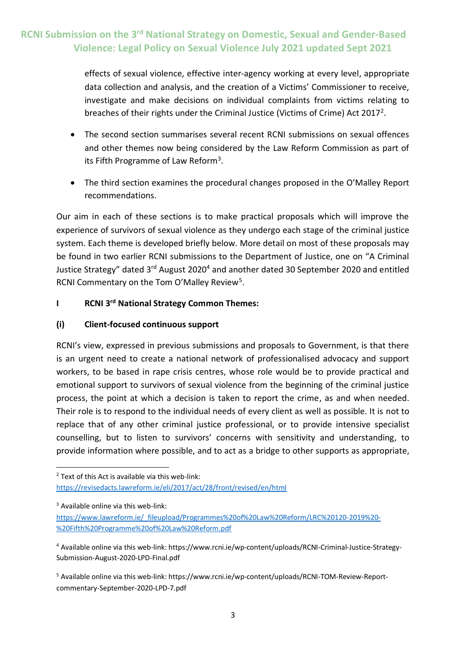effects of sexual violence, effective inter-agency working at every level, appropriate data collection and analysis, and the creation of a Victims' Commissioner to receive, investigate and make decisions on individual complaints from victims relating to breaches of their rights under the Criminal Justice (Victims of Crime) Act 2017<sup>2</sup>.

- The second section summarises several recent RCNI submissions on sexual offences and other themes now being considered by the Law Reform Commission as part of its Fifth Programme of Law Reform<sup>3</sup>.
- The third section examines the procedural changes proposed in the O'Malley Report recommendations.

Our aim in each of these sections is to make practical proposals which will improve the experience of survivors of sexual violence as they undergo each stage of the criminal justice system. Each theme is developed briefly below. More detail on most of these proposals may be found in two earlier RCNI submissions to the Department of Justice, one on "A Criminal Justice Strategy" dated 3<sup>rd</sup> August 2020<sup>4</sup> and another dated 30 September 2020 and entitled RCNI Commentary on the Tom O'Malley Review<sup>5</sup>.

#### **I RCNI 3 rd National Strategy Common Themes:**

#### **(i) Client-focused continuous support**

RCNI's view, expressed in previous submissions and proposals to Government, is that there is an urgent need to create a national network of professionalised advocacy and support workers, to be based in rape crisis centres, whose role would be to provide practical and emotional support to survivors of sexual violence from the beginning of the criminal justice process, the point at which a decision is taken to report the crime, as and when needed. Their role is to respond to the individual needs of every client as well as possible. It is not to replace that of any other criminal justice professional, or to provide intensive specialist counselling, but to listen to survivors' concerns with sensitivity and understanding, to provide information where possible, and to act as a bridge to other supports as appropriate,

<sup>3</sup> Available online via this web-link:

**.** 

 $2$  Text of this Act is available via this web-link: <https://revisedacts.lawreform.ie/eli/2017/act/28/front/revised/en/html>

[https://www.lawreform.ie/\\_fileupload/Programmes%20of%20Law%20Reform/LRC%20120-2019%20-](https://www.lawreform.ie/_fileupload/Programmes%20of%20Law%20Reform/LRC%20120-2019%20-%20Fifth%20Programme%20of%20Law%20Reform.pdf) [%20Fifth%20Programme%20of%20Law%20Reform.pdf](https://www.lawreform.ie/_fileupload/Programmes%20of%20Law%20Reform/LRC%20120-2019%20-%20Fifth%20Programme%20of%20Law%20Reform.pdf)

<sup>4</sup> Available online via this web-link: https://www.rcni.ie/wp-content/uploads/RCNI-Criminal-Justice-Strategy-Submission-August-2020-LPD-Final.pdf

<sup>5</sup> Available online via this web-link: https://www.rcni.ie/wp-content/uploads/RCNI-TOM-Review-Reportcommentary-September-2020-LPD-7.pdf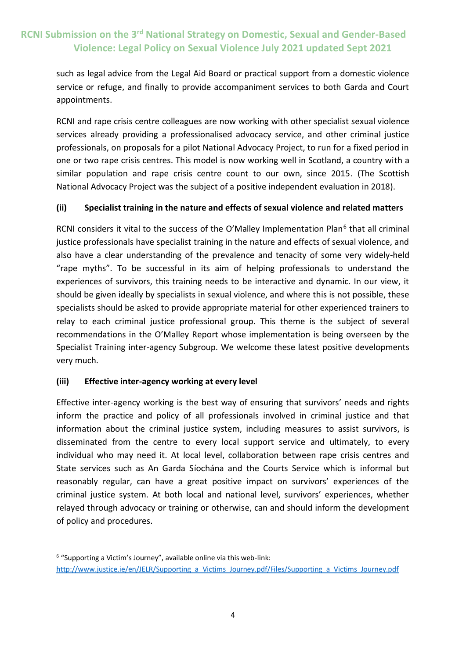such as legal advice from the Legal Aid Board or practical support from a domestic violence service or refuge, and finally to provide accompaniment services to both Garda and Court appointments.

RCNI and rape crisis centre colleagues are now working with other specialist sexual violence services already providing a professionalised advocacy service, and other criminal justice professionals, on proposals for a pilot National Advocacy Project, to run for a fixed period in one or two rape crisis centres. This model is now working well in Scotland, a country with a similar population and rape crisis centre count to our own, since 2015. (The Scottish National Advocacy Project was the subject of a positive independent evaluation in 2018).

#### **(ii) Specialist training in the nature and effects of sexual violence and related matters**

RCNI considers it vital to the success of the O'Malley Implementation Plan<sup>6</sup> that all criminal justice professionals have specialist training in the nature and effects of sexual violence, and also have a clear understanding of the prevalence and tenacity of some very widely-held "rape myths". To be successful in its aim of helping professionals to understand the experiences of survivors, this training needs to be interactive and dynamic. In our view, it should be given ideally by specialists in sexual violence, and where this is not possible, these specialists should be asked to provide appropriate material for other experienced trainers to relay to each criminal justice professional group. This theme is the subject of several recommendations in the O'Malley Report whose implementation is being overseen by the Specialist Training inter-agency Subgroup. We welcome these latest positive developments very much.

#### **(iii) Effective inter-agency working at every level**

**.** 

Effective inter-agency working is the best way of ensuring that survivors' needs and rights inform the practice and policy of all professionals involved in criminal justice and that information about the criminal justice system, including measures to assist survivors, is disseminated from the centre to every local support service and ultimately, to every individual who may need it. At local level, collaboration between rape crisis centres and State services such as An Garda Síochána and the Courts Service which is informal but reasonably regular, can have a great positive impact on survivors' experiences of the criminal justice system. At both local and national level, survivors' experiences, whether relayed through advocacy or training or otherwise, can and should inform the development of policy and procedures.

<sup>&</sup>lt;sup>6</sup> "Supporting a Victim's Journey", available online via this web-link: [http://www.justice.ie/en/JELR/Supporting\\_a\\_Victims\\_Journey.pdf/Files/Supporting\\_a\\_Victims\\_Journey.pdf](http://www.justice.ie/en/JELR/Supporting_a_Victims_Journey.pdf/Files/Supporting_a_Victims_Journey.pdf)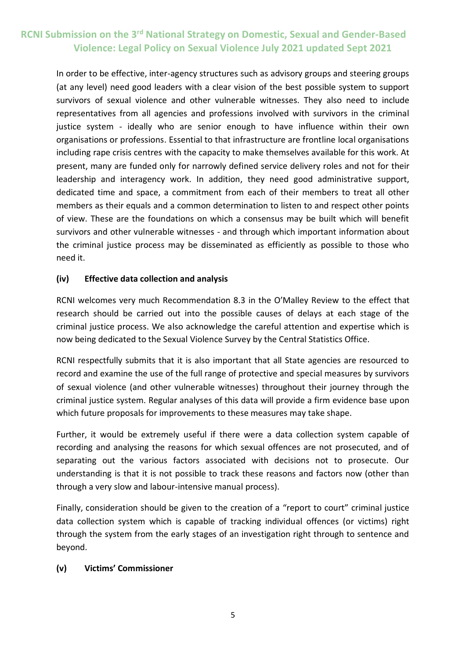In order to be effective, inter-agency structures such as advisory groups and steering groups (at any level) need good leaders with a clear vision of the best possible system to support survivors of sexual violence and other vulnerable witnesses. They also need to include representatives from all agencies and professions involved with survivors in the criminal justice system - ideally who are senior enough to have influence within their own organisations or professions. Essential to that infrastructure are frontline local organisations including rape crisis centres with the capacity to make themselves available for this work. At present, many are funded only for narrowly defined service delivery roles and not for their leadership and interagency work. In addition, they need good administrative support, dedicated time and space, a commitment from each of their members to treat all other members as their equals and a common determination to listen to and respect other points of view. These are the foundations on which a consensus may be built which will benefit survivors and other vulnerable witnesses - and through which important information about the criminal justice process may be disseminated as efficiently as possible to those who need it.

#### **(iv) Effective data collection and analysis**

RCNI welcomes very much Recommendation 8.3 in the O'Malley Review to the effect that research should be carried out into the possible causes of delays at each stage of the criminal justice process. We also acknowledge the careful attention and expertise which is now being dedicated to the Sexual Violence Survey by the Central Statistics Office.

RCNI respectfully submits that it is also important that all State agencies are resourced to record and examine the use of the full range of protective and special measures by survivors of sexual violence (and other vulnerable witnesses) throughout their journey through the criminal justice system. Regular analyses of this data will provide a firm evidence base upon which future proposals for improvements to these measures may take shape.

Further, it would be extremely useful if there were a data collection system capable of recording and analysing the reasons for which sexual offences are not prosecuted, and of separating out the various factors associated with decisions not to prosecute. Our understanding is that it is not possible to track these reasons and factors now (other than through a very slow and labour-intensive manual process).

Finally, consideration should be given to the creation of a "report to court" criminal justice data collection system which is capable of tracking individual offences (or victims) right through the system from the early stages of an investigation right through to sentence and beyond.

#### **(v) Victims' Commissioner**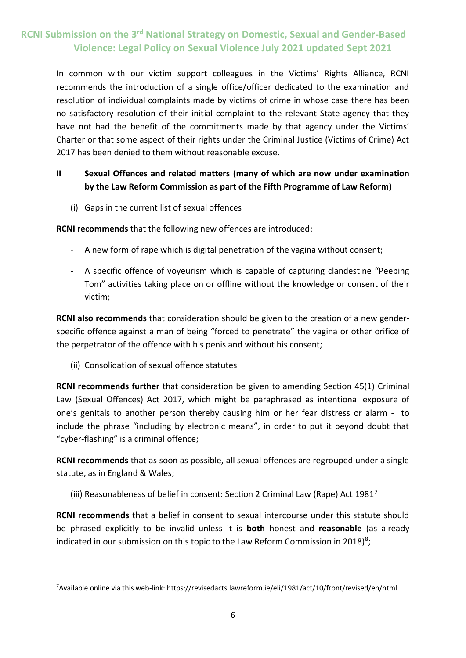In common with our victim support colleagues in the Victims' Rights Alliance, RCNI recommends the introduction of a single office/officer dedicated to the examination and resolution of individual complaints made by victims of crime in whose case there has been no satisfactory resolution of their initial complaint to the relevant State agency that they have not had the benefit of the commitments made by that agency under the Victims' Charter or that some aspect of their rights under the Criminal Justice (Victims of Crime) Act 2017 has been denied to them without reasonable excuse.

#### **II Sexual Offences and related matters (many of which are now under examination by the Law Reform Commission as part of the Fifth Programme of Law Reform)**

(i) Gaps in the current list of sexual offences

**RCNI recommends** that the following new offences are introduced:

- A new form of rape which is digital penetration of the vagina without consent;
- A specific offence of voyeurism which is capable of capturing clandestine "Peeping Tom" activities taking place on or offline without the knowledge or consent of their victim;

**RCNI also recommends** that consideration should be given to the creation of a new genderspecific offence against a man of being "forced to penetrate" the vagina or other orifice of the perpetrator of the offence with his penis and without his consent;

(ii) Consolidation of sexual offence statutes

**RCNI recommends further** that consideration be given to amending Section 45(1) Criminal Law (Sexual Offences) Act 2017, which might be paraphrased as intentional exposure of one's genitals to another person thereby causing him or her fear distress or alarm - to include the phrase "including by electronic means", in order to put it beyond doubt that "cyber-flashing" is a criminal offence;

**RCNI recommends** that as soon as possible, all sexual offences are regrouped under a single statute, as in England & Wales;

(iii) Reasonableness of belief in consent: Section 2 Criminal Law (Rape) Act  $1981<sup>7</sup>$ 

**RCNI recommends** that a belief in consent to sexual intercourse under this statute should be phrased explicitly to be invalid unless it is **both** honest and **reasonable** (as already indicated in our submission on this topic to the Law Reform Commission in 2018)<sup>8</sup>;

<sup>-</sup>7Available online via this web-link: https://revisedacts.lawreform.ie/eli/1981/act/10/front/revised/en/html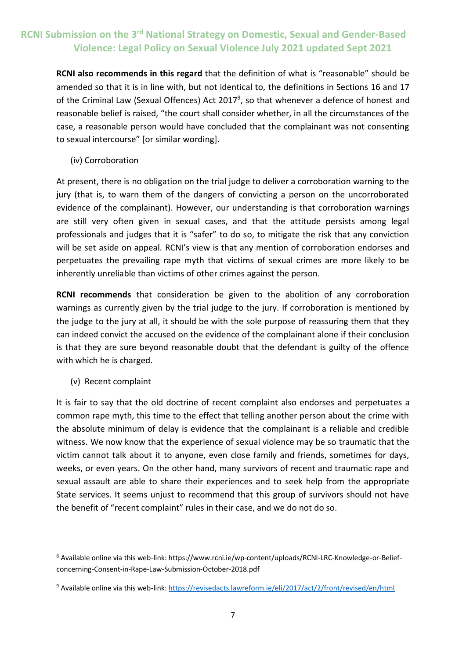**RCNI also recommends in this regard** that the definition of what is "reasonable" should be amended so that it is in line with, but not identical to, the definitions in Sections 16 and 17 of the Criminal Law (Sexual Offences) Act 2017<sup>9</sup>, so that whenever a defence of honest and reasonable belief is raised, "the court shall consider whether, in all the circumstances of the case, a reasonable person would have concluded that the complainant was not consenting to sexual intercourse" [or similar wording].

(iv) Corroboration

At present, there is no obligation on the trial judge to deliver a corroboration warning to the jury (that is, to warn them of the dangers of convicting a person on the uncorroborated evidence of the complainant). However, our understanding is that corroboration warnings are still very often given in sexual cases, and that the attitude persists among legal professionals and judges that it is "safer" to do so, to mitigate the risk that any conviction will be set aside on appeal. RCNI's view is that any mention of corroboration endorses and perpetuates the prevailing rape myth that victims of sexual crimes are more likely to be inherently unreliable than victims of other crimes against the person.

**RCNI recommends** that consideration be given to the abolition of any corroboration warnings as currently given by the trial judge to the jury. If corroboration is mentioned by the judge to the jury at all, it should be with the sole purpose of reassuring them that they can indeed convict the accused on the evidence of the complainant alone if their conclusion is that they are sure beyond reasonable doubt that the defendant is guilty of the offence with which he is charged.

(v) Recent complaint

**.** 

It is fair to say that the old doctrine of recent complaint also endorses and perpetuates a common rape myth, this time to the effect that telling another person about the crime with the absolute minimum of delay is evidence that the complainant is a reliable and credible witness. We now know that the experience of sexual violence may be so traumatic that the victim cannot talk about it to anyone, even close family and friends, sometimes for days, weeks, or even years. On the other hand, many survivors of recent and traumatic rape and sexual assault are able to share their experiences and to seek help from the appropriate State services. It seems unjust to recommend that this group of survivors should not have the benefit of "recent complaint" rules in their case, and we do not do so.

<sup>8</sup> Available online via this web-link: https://www.rcni.ie/wp-content/uploads/RCNI-LRC-Knowledge-or-Beliefconcerning-Consent-in-Rape-Law-Submission-October-2018.pdf

<sup>9</sup> Available online via this web-link[: https://revisedacts.lawreform.ie/eli/2017/act/2/front/revised/en/html](https://revisedacts.lawreform.ie/eli/2017/act/2/front/revised/en/html)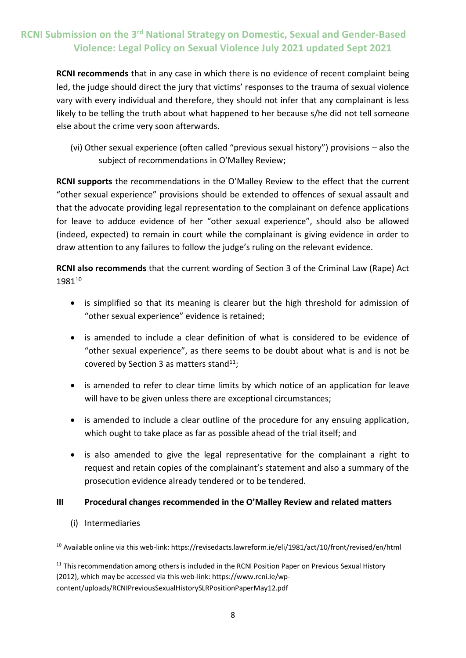**RCNI recommends** that in any case in which there is no evidence of recent complaint being led, the judge should direct the jury that victims' responses to the trauma of sexual violence vary with every individual and therefore, they should not infer that any complainant is less likely to be telling the truth about what happened to her because s/he did not tell someone else about the crime very soon afterwards.

(vi) Other sexual experience (often called "previous sexual history") provisions – also the subject of recommendations in O'Malley Review;

**RCNI supports** the recommendations in the O'Malley Review to the effect that the current "other sexual experience" provisions should be extended to offences of sexual assault and that the advocate providing legal representation to the complainant on defence applications for leave to adduce evidence of her "other sexual experience", should also be allowed (indeed, expected) to remain in court while the complainant is giving evidence in order to draw attention to any failures to follow the judge's ruling on the relevant evidence.

**RCNI also recommends** that the current wording of Section 3 of the Criminal Law (Rape) Act 1981<sup>10</sup>

- is simplified so that its meaning is clearer but the high threshold for admission of "other sexual experience" evidence is retained;
- is amended to include a clear definition of what is considered to be evidence of "other sexual experience", as there seems to be doubt about what is and is not be covered by Section 3 as matters stand<sup>11</sup>:
- is amended to refer to clear time limits by which notice of an application for leave will have to be given unless there are exceptional circumstances;
- is amended to include a clear outline of the procedure for any ensuing application, which ought to take place as far as possible ahead of the trial itself; and
- is also amended to give the legal representative for the complainant a right to request and retain copies of the complainant's statement and also a summary of the prosecution evidence already tendered or to be tendered.

#### **III Procedural changes recommended in the O'Malley Review and related matters**

(i) Intermediaries

<sup>-</sup><sup>10</sup> Available online via this web-link: https://revisedacts.lawreform.ie/eli/1981/act/10/front/revised/en/html

<sup>&</sup>lt;sup>11</sup> This recommendation among others is included in the RCNI Position Paper on Previous Sexual History (2012), which may be accessed via this web-link: https://www.rcni.ie/wpcontent/uploads/RCNIPreviousSexualHistorySLRPositionPaperMay12.pdf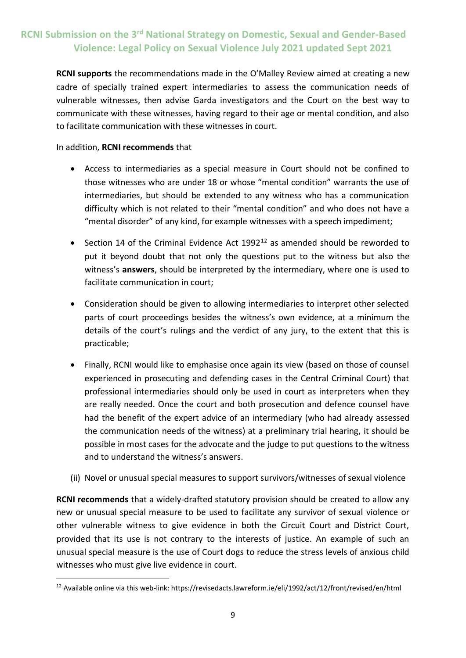**RCNI supports** the recommendations made in the O'Malley Review aimed at creating a new cadre of specially trained expert intermediaries to assess the communication needs of vulnerable witnesses, then advise Garda investigators and the Court on the best way to communicate with these witnesses, having regard to their age or mental condition, and also to facilitate communication with these witnesses in court.

#### In addition, **RCNI recommends** that

- Access to intermediaries as a special measure in Court should not be confined to those witnesses who are under 18 or whose "mental condition" warrants the use of intermediaries, but should be extended to any witness who has a communication difficulty which is not related to their "mental condition" and who does not have a "mental disorder" of any kind, for example witnesses with a speech impediment;
- Section 14 of the Criminal Evidence Act  $1992^{12}$  as amended should be reworded to put it beyond doubt that not only the questions put to the witness but also the witness's **answers**, should be interpreted by the intermediary, where one is used to facilitate communication in court;
- Consideration should be given to allowing intermediaries to interpret other selected parts of court proceedings besides the witness's own evidence, at a minimum the details of the court's rulings and the verdict of any jury, to the extent that this is practicable;
- Finally, RCNI would like to emphasise once again its view (based on those of counsel experienced in prosecuting and defending cases in the Central Criminal Court) that professional intermediaries should only be used in court as interpreters when they are really needed. Once the court and both prosecution and defence counsel have had the benefit of the expert advice of an intermediary (who had already assessed the communication needs of the witness) at a preliminary trial hearing, it should be possible in most cases for the advocate and the judge to put questions to the witness and to understand the witness's answers.
- (ii) Novel or unusual special measures to support survivors/witnesses of sexual violence

**RCNI recommends** that a widely-drafted statutory provision should be created to allow any new or unusual special measure to be used to facilitate any survivor of sexual violence or other vulnerable witness to give evidence in both the Circuit Court and District Court, provided that its use is not contrary to the interests of justice. An example of such an unusual special measure is the use of Court dogs to reduce the stress levels of anxious child witnesses who must give live evidence in court.

<sup>-</sup><sup>12</sup> Available online via this web-link: https://revisedacts.lawreform.ie/eli/1992/act/12/front/revised/en/html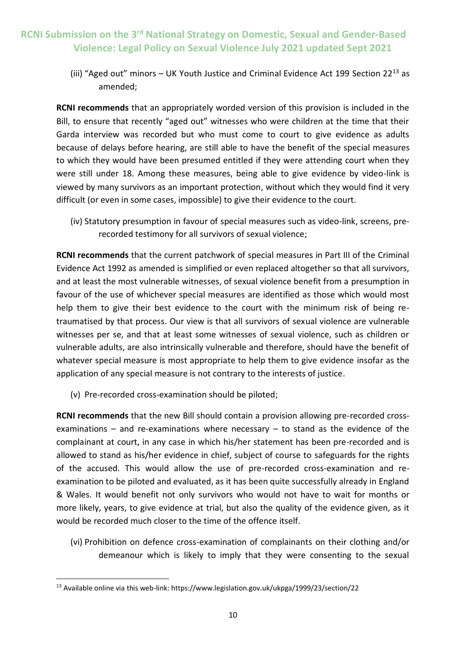(iii) "Aged out" minors  $-$  UK Youth Justice and Criminal Evidence Act 199 Section 22<sup>13</sup> as amended;

**RCNI recommends** that an appropriately worded version of this provision is included in the Bill, to ensure that recently "aged out" witnesses who were children at the time that their Garda interview was recorded but who must come to court to give evidence as adults because of delays before hearing, are still able to have the benefit of the special measures to which they would have been presumed entitled if they were attending court when they were still under 18. Among these measures, being able to give evidence by video-link is viewed by many survivors as an important protection, without which they would find it very difficult (or even in some cases, impossible) to give their evidence to the court.

(iv) Statutory presumption in favour of special measures such as video-link, screens, prerecorded testimony for all survivors of sexual violence;

**RCNI recommends** that the current patchwork of special measures in Part III of the Criminal Evidence Act 1992 as amended is simplified or even replaced altogether so that all survivors, and at least the most vulnerable witnesses, of sexual violence benefit from a presumption in favour of the use of whichever special measures are identified as those which would most help them to give their best evidence to the court with the minimum risk of being retraumatised by that process. Our view is that all survivors of sexual violence are vulnerable witnesses per se, and that at least some witnesses of sexual violence, such as children or vulnerable adults, are also intrinsically vulnerable and therefore, should have the benefit of whatever special measure is most appropriate to help them to give evidence insofar as the application of any special measure is not contrary to the interests of justice.

(v) Pre-recorded cross-examination should be piloted;

**RCNI recommends** that the new Bill should contain a provision allowing pre-recorded crossexaminations – and re-examinations where necessary – to stand as the evidence of the complainant at court, in any case in which his/her statement has been pre-recorded and is allowed to stand as his/her evidence in chief, subject of course to safeguards for the rights of the accused. This would allow the use of pre-recorded cross-examination and reexamination to be piloted and evaluated, as it has been quite successfully already in England & Wales. It would benefit not only survivors who would not have to wait for months or more likely, years, to give evidence at trial, but also the quality of the evidence given, as it would be recorded much closer to the time of the offence itself.

(vi) Prohibition on defence cross-examination of complainants on their clothing and/or demeanour which is likely to imply that they were consenting to the sexual

<sup>-</sup><sup>13</sup> Available online via this web-link: https://www.legislation.gov.uk/ukpga/1999/23/section/22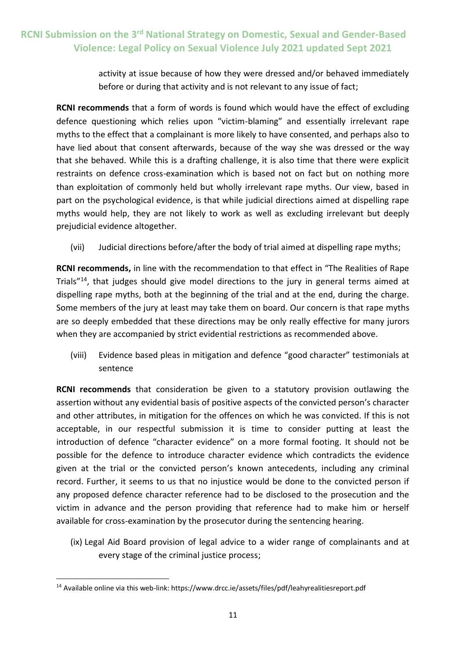activity at issue because of how they were dressed and/or behaved immediately before or during that activity and is not relevant to any issue of fact;

**RCNI recommends** that a form of words is found which would have the effect of excluding defence questioning which relies upon "victim-blaming" and essentially irrelevant rape myths to the effect that a complainant is more likely to have consented, and perhaps also to have lied about that consent afterwards, because of the way she was dressed or the way that she behaved. While this is a drafting challenge, it is also time that there were explicit restraints on defence cross-examination which is based not on fact but on nothing more than exploitation of commonly held but wholly irrelevant rape myths. Our view, based in part on the psychological evidence, is that while judicial directions aimed at dispelling rape myths would help, they are not likely to work as well as excluding irrelevant but deeply prejudicial evidence altogether.

(vii) Judicial directions before/after the body of trial aimed at dispelling rape myths;

**RCNI recommends,** in line with the recommendation to that effect in "The Realities of Rape Trials"<sup>14</sup>, that judges should give model directions to the jury in general terms aimed at dispelling rape myths, both at the beginning of the trial and at the end, during the charge. Some members of the jury at least may take them on board. Our concern is that rape myths are so deeply embedded that these directions may be only really effective for many jurors when they are accompanied by strict evidential restrictions as recommended above.

(viii) Evidence based pleas in mitigation and defence "good character" testimonials at sentence

**RCNI recommends** that consideration be given to a statutory provision outlawing the assertion without any evidential basis of positive aspects of the convicted person's character and other attributes, in mitigation for the offences on which he was convicted. If this is not acceptable, in our respectful submission it is time to consider putting at least the introduction of defence "character evidence" on a more formal footing. It should not be possible for the defence to introduce character evidence which contradicts the evidence given at the trial or the convicted person's known antecedents, including any criminal record. Further, it seems to us that no injustice would be done to the convicted person if any proposed defence character reference had to be disclosed to the prosecution and the victim in advance and the person providing that reference had to make him or herself available for cross-examination by the prosecutor during the sentencing hearing.

(ix) Legal Aid Board provision of legal advice to a wider range of complainants and at every stage of the criminal justice process;

-

<sup>14</sup> Available online via this web-link: https://www.drcc.ie/assets/files/pdf/leahyrealitiesreport.pdf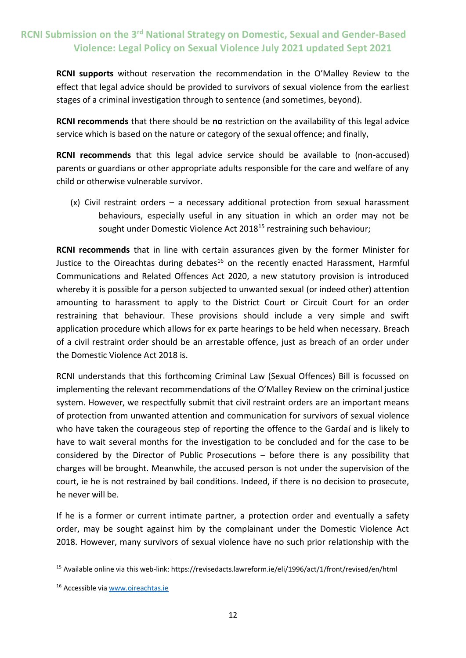**RCNI supports** without reservation the recommendation in the O'Malley Review to the effect that legal advice should be provided to survivors of sexual violence from the earliest stages of a criminal investigation through to sentence (and sometimes, beyond).

**RCNI recommends** that there should be **no** restriction on the availability of this legal advice service which is based on the nature or category of the sexual offence; and finally,

**RCNI recommends** that this legal advice service should be available to (non-accused) parents or guardians or other appropriate adults responsible for the care and welfare of any child or otherwise vulnerable survivor.

(x) Civil restraint orders – a necessary additional protection from sexual harassment behaviours, especially useful in any situation in which an order may not be sought under Domestic Violence Act 2018<sup>15</sup> restraining such behaviour;

**RCNI recommends** that in line with certain assurances given by the former Minister for Justice to the Oireachtas during debates<sup>16</sup> on the recently enacted Harassment, Harmful Communications and Related Offences Act 2020, a new statutory provision is introduced whereby it is possible for a person subjected to unwanted sexual (or indeed other) attention amounting to harassment to apply to the District Court or Circuit Court for an order restraining that behaviour. These provisions should include a very simple and swift application procedure which allows for ex parte hearings to be held when necessary. Breach of a civil restraint order should be an arrestable offence, just as breach of an order under the Domestic Violence Act 2018 is.

RCNI understands that this forthcoming Criminal Law (Sexual Offences) Bill is focussed on implementing the relevant recommendations of the O'Malley Review on the criminal justice system. However, we respectfully submit that civil restraint orders are an important means of protection from unwanted attention and communication for survivors of sexual violence who have taken the courageous step of reporting the offence to the Gardaí and is likely to have to wait several months for the investigation to be concluded and for the case to be considered by the Director of Public Prosecutions – before there is any possibility that charges will be brought. Meanwhile, the accused person is not under the supervision of the court, ie he is not restrained by bail conditions. Indeed, if there is no decision to prosecute, he never will be.

If he is a former or current intimate partner, a protection order and eventually a safety order, may be sought against him by the complainant under the Domestic Violence Act 2018. However, many survivors of sexual violence have no such prior relationship with the

-

<sup>15</sup> Available online via this web-link: https://revisedacts.lawreform.ie/eli/1996/act/1/front/revised/en/html

<sup>16</sup> Accessible vi[a www.oireachtas.ie](http://www.oireachtas.ie/)